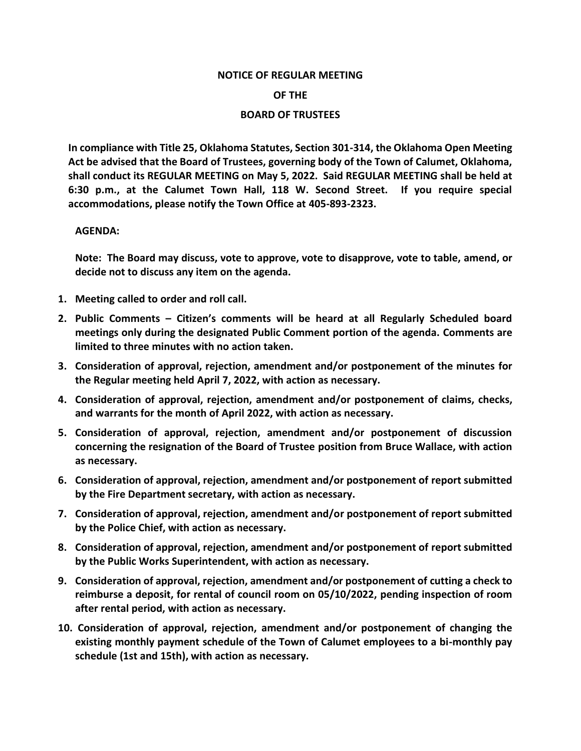## **NOTICE OF REGULAR MEETING**

## **OF THE**

## **BOARD OF TRUSTEES**

**In compliance with Title 25, Oklahoma Statutes, Section 301-314, the Oklahoma Open Meeting Act be advised that the Board of Trustees, governing body of the Town of Calumet, Oklahoma, shall conduct its REGULAR MEETING on May 5, 2022. Said REGULAR MEETING shall be held at 6:30 p.m., at the Calumet Town Hall, 118 W. Second Street. If you require special accommodations, please notify the Town Office at 405-893-2323.**

## **AGENDA:**

**Note: The Board may discuss, vote to approve, vote to disapprove, vote to table, amend, or decide not to discuss any item on the agenda.**

- **1. Meeting called to order and roll call.**
- **2. Public Comments – Citizen's comments will be heard at all Regularly Scheduled board meetings only during the designated Public Comment portion of the agenda. Comments are limited to three minutes with no action taken.**
- **3. Consideration of approval, rejection, amendment and/or postponement of the minutes for the Regular meeting held April 7, 2022, with action as necessary.**
- **4. Consideration of approval, rejection, amendment and/or postponement of claims, checks, and warrants for the month of April 2022, with action as necessary.**
- **5. Consideration of approval, rejection, amendment and/or postponement of discussion concerning the resignation of the Board of Trustee position from Bruce Wallace, with action as necessary.**
- **6. Consideration of approval, rejection, amendment and/or postponement of report submitted by the Fire Department secretary, with action as necessary.**
- **7. Consideration of approval, rejection, amendment and/or postponement of report submitted by the Police Chief, with action as necessary.**
- **8. Consideration of approval, rejection, amendment and/or postponement of report submitted by the Public Works Superintendent, with action as necessary.**
- **9. Consideration of approval, rejection, amendment and/or postponement of cutting a check to reimburse a deposit, for rental of council room on 05/10/2022, pending inspection of room after rental period, with action as necessary.**
- **10. Consideration of approval, rejection, amendment and/or postponement of changing the existing monthly payment schedule of the Town of Calumet employees to a bi-monthly pay schedule (1st and 15th), with action as necessary.**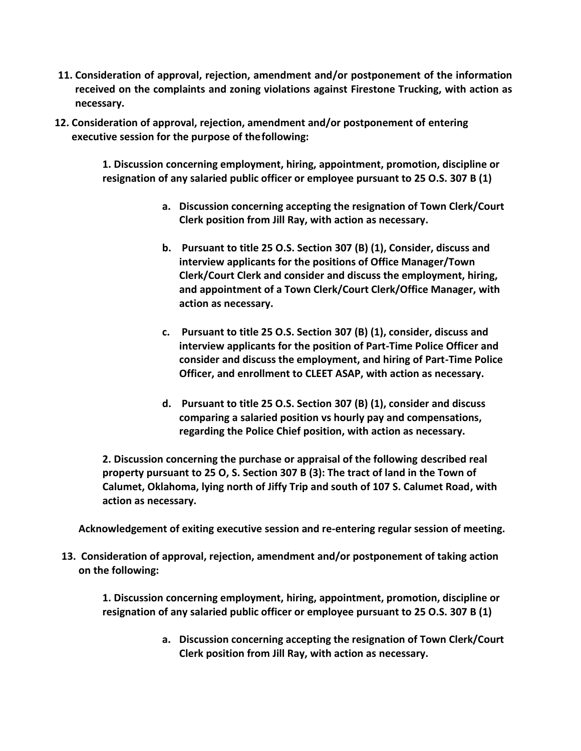- **11. Consideration of approval, rejection, amendment and/or postponement of the information received on the complaints and zoning violations against Firestone Trucking, with action as necessary.**
- **12. Consideration of approval, rejection, amendment and/or postponement of entering executive session for the purpose of thefollowing:**

**1. Discussion concerning employment, hiring, appointment, promotion, discipline or resignation of any salaried public officer or employee pursuant to 25 O.S. 307 B (1)**

- **a. Discussion concerning accepting the resignation of Town Clerk/Court Clerk position from Jill Ray, with action as necessary.**
- **b. Pursuant to title 25 O.S. Section 307 (B) (1), Consider, discuss and interview applicants for the positions of Office Manager/Town Clerk/Court Clerk and consider and discuss the employment, hiring, and appointment of a Town Clerk/Court Clerk/Office Manager, with action as necessary.**
- **c. Pursuant to title 25 O.S. Section 307 (B) (1), consider, discuss and interview applicants for the position of Part-Time Police Officer and consider and discuss the employment, and hiring of Part-Time Police Officer, and enrollment to CLEET ASAP, with action as necessary.**
- **d. Pursuant to title 25 O.S. Section 307 (B) (1), consider and discuss comparing a salaried position vs hourly pay and compensations, regarding the Police Chief position, with action as necessary.**

**2. Discussion concerning the purchase or appraisal of the following described real property pursuant to 25 O, S. Section 307 B (3): The tract of land in the Town of Calumet, Oklahoma, lying north of Jiffy Trip and south of 107 S. Calumet Road, with action as necessary.**

**Acknowledgement of exiting executive session and re-entering regular session of meeting.**

**13. Consideration of approval, rejection, amendment and/or postponement of taking action on the following:**

**1. Discussion concerning employment, hiring, appointment, promotion, discipline or resignation of any salaried public officer or employee pursuant to 25 O.S. 307 B (1)**

> **a. Discussion concerning accepting the resignation of Town Clerk/Court Clerk position from Jill Ray, with action as necessary.**